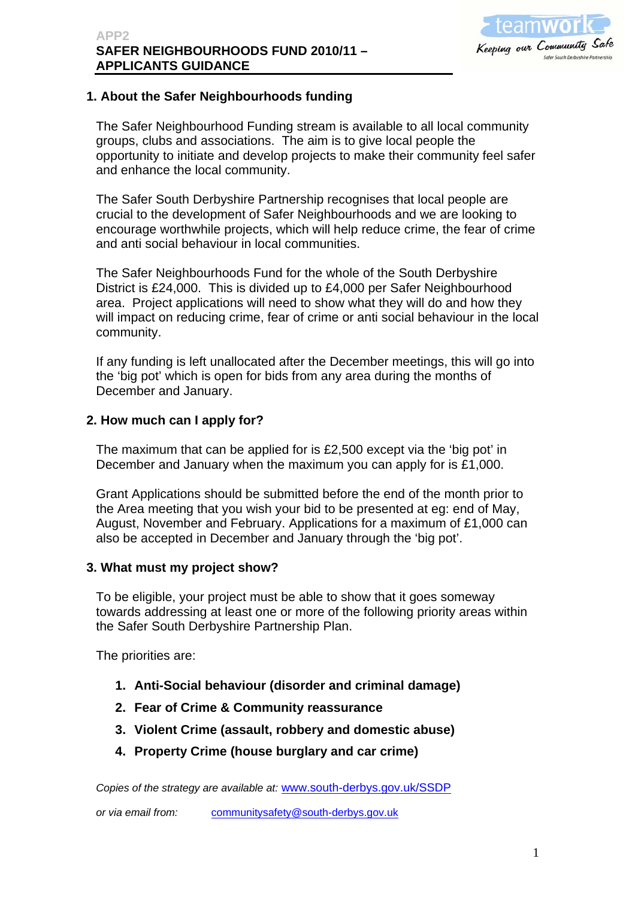

### **1. About the Safer Neighbourhoods funding**

The Safer Neighbourhood Funding stream is available to all local community groups, clubs and associations. The aim is to give local people the opportunity to initiate and develop projects to make their community feel safer and enhance the local community.

The Safer South Derbyshire Partnership recognises that local people are crucial to the development of Safer Neighbourhoods and we are looking to encourage worthwhile projects, which will help reduce crime, the fear of crime and anti social behaviour in local communities.

The Safer Neighbourhoods Fund for the whole of the South Derbyshire District is £24,000. This is divided up to £4,000 per Safer Neighbourhood area. Project applications will need to show what they will do and how they will impact on reducing crime, fear of crime or anti social behaviour in the local community.

If any funding is left unallocated after the December meetings, this will go into the 'big pot' which is open for bids from any area during the months of December and January.

#### **2. How much can I apply for?**

The maximum that can be applied for is £2,500 except via the 'big pot' in December and January when the maximum you can apply for is £1,000.

Grant Applications should be submitted before the end of the month prior to the Area meeting that you wish your bid to be presented at eg: end of May, August, November and February. Applications for a maximum of £1,000 can also be accepted in December and January through the 'big pot'.

#### **3. What must my project show?**

To be eligible, your project must be able to show that it goes someway towards addressing at least one or more of the following priority areas within the Safer South Derbyshire Partnership Plan.

The priorities are:

- **1. Anti-Social behaviour (disorder and criminal damage)**
- **2. Fear of Crime & Community reassurance**
- **3. Violent Crime (assault, robbery and domestic abuse)**
- **4. Property Crime (house burglary and car crime)**

*Copies of the strategy are available at:* [www.south-derbys.gov.uk/SSDP](http://www.south-derbys.gov.uk/SSDP)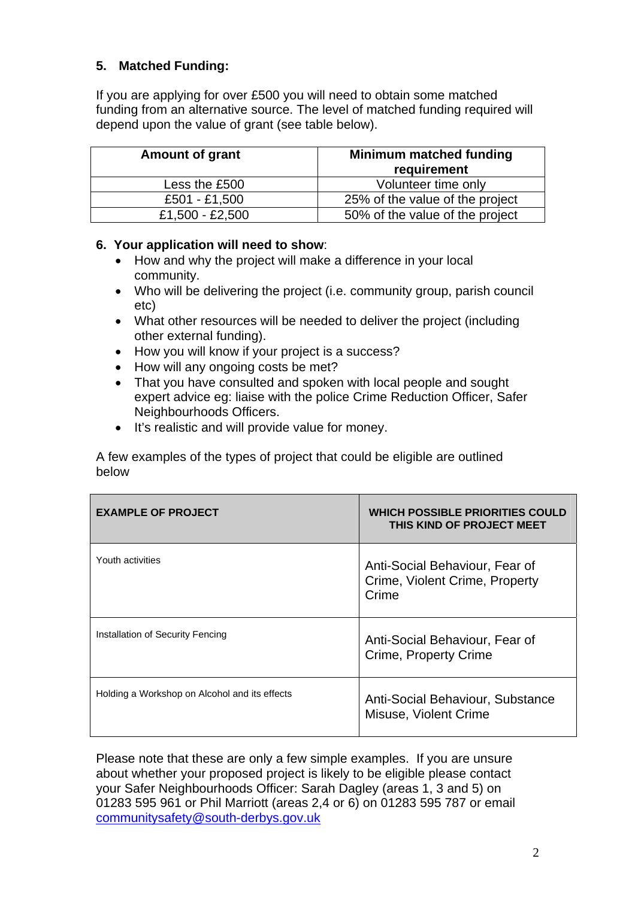### **5. Matched Funding:**

If you are applying for over £500 you will need to obtain some matched funding from an alternative source. The level of matched funding required will depend upon the value of grant (see table below).

| <b>Amount of grant</b> | <b>Minimum matched funding</b><br>requirement |
|------------------------|-----------------------------------------------|
| Less the £500          | Volunteer time only                           |
| £501 - £1,500          | 25% of the value of the project               |
| £1,500 - £2,500        | 50% of the value of the project               |

#### **6. Your application will need to show**:

- How and why the project will make a difference in your local community.
- Who will be delivering the project (i.e. community group, parish council etc)
- What other resources will be needed to deliver the project (including other external funding).
- How you will know if your project is a success?
- How will any ongoing costs be met?
- That you have consulted and spoken with local people and sought expert advice eg: liaise with the police Crime Reduction Officer, Safer Neighbourhoods Officers.
- It's realistic and will provide value for money.

A few examples of the types of project that could be eligible are outlined below

| <b>EXAMPLE OF PROJECT</b>                     | <b>WHICH POSSIBLE PRIORITIES COULD</b><br>THIS KIND OF PROJECT MEET       |
|-----------------------------------------------|---------------------------------------------------------------------------|
| Youth activities                              | Anti-Social Behaviour, Fear of<br>Crime, Violent Crime, Property<br>Crime |
| Installation of Security Fencing              | Anti-Social Behaviour, Fear of<br>Crime, Property Crime                   |
| Holding a Workshop on Alcohol and its effects | Anti-Social Behaviour, Substance<br>Misuse, Violent Crime                 |

Please note that these are only a few simple examples. If you are unsure about whether your proposed project is likely to be eligible please contact your Safer Neighbourhoods Officer: Sarah Dagley (areas 1, 3 and 5) on 01283 595 961 or Phil Marriott (areas 2,4 or 6) on 01283 595 787 or email [communitysafety@south-derbys.gov.uk](mailto:communitysafety@south-derbys.gov.uk)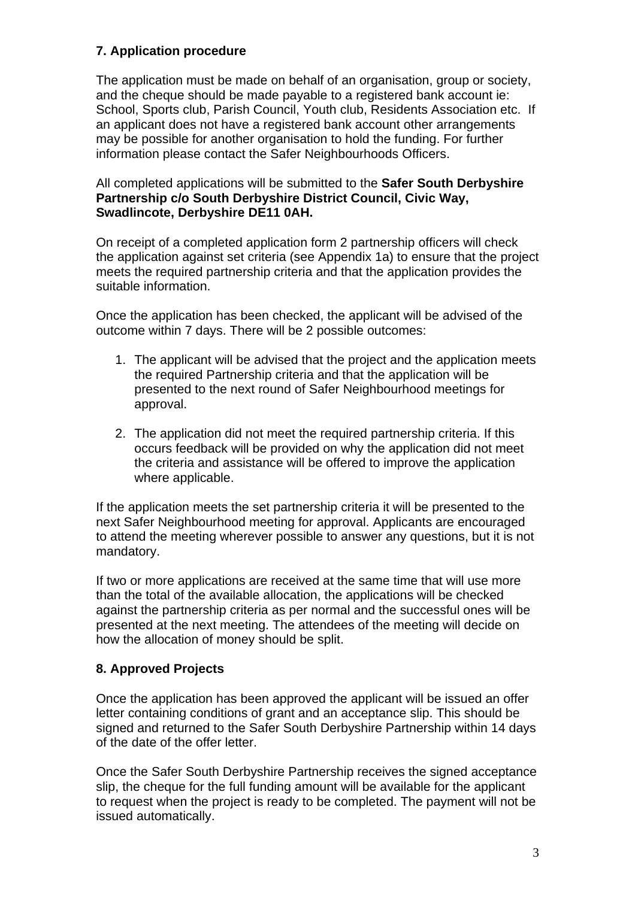## **7. Application procedure**

The application must be made on behalf of an organisation, group or society, and the cheque should be made payable to a registered bank account ie: School, Sports club, Parish Council, Youth club, Residents Association etc. If an applicant does not have a registered bank account other arrangements may be possible for another organisation to hold the funding. For further information please contact the Safer Neighbourhoods Officers.

#### All completed applications will be submitted to the **Safer South Derbyshire Partnership c/o South Derbyshire District Council, Civic Way, Swadlincote, Derbyshire DE11 0AH.**

On receipt of a completed application form 2 partnership officers will check the application against set criteria (see Appendix 1a) to ensure that the project meets the required partnership criteria and that the application provides the suitable information.

Once the application has been checked, the applicant will be advised of the outcome within 7 days. There will be 2 possible outcomes:

- 1. The applicant will be advised that the project and the application meets the required Partnership criteria and that the application will be presented to the next round of Safer Neighbourhood meetings for approval.
- 2. The application did not meet the required partnership criteria. If this occurs feedback will be provided on why the application did not meet the criteria and assistance will be offered to improve the application where applicable.

If the application meets the set partnership criteria it will be presented to the next Safer Neighbourhood meeting for approval. Applicants are encouraged to attend the meeting wherever possible to answer any questions, but it is not mandatory.

If two or more applications are received at the same time that will use more than the total of the available allocation, the applications will be checked against the partnership criteria as per normal and the successful ones will be presented at the next meeting. The attendees of the meeting will decide on how the allocation of money should be split.

# **8. Approved Projects**

Once the application has been approved the applicant will be issued an offer letter containing conditions of grant and an acceptance slip. This should be signed and returned to the Safer South Derbyshire Partnership within 14 days of the date of the offer letter.

Once the Safer South Derbyshire Partnership receives the signed acceptance slip, the cheque for the full funding amount will be available for the applicant to request when the project is ready to be completed. The payment will not be issued automatically.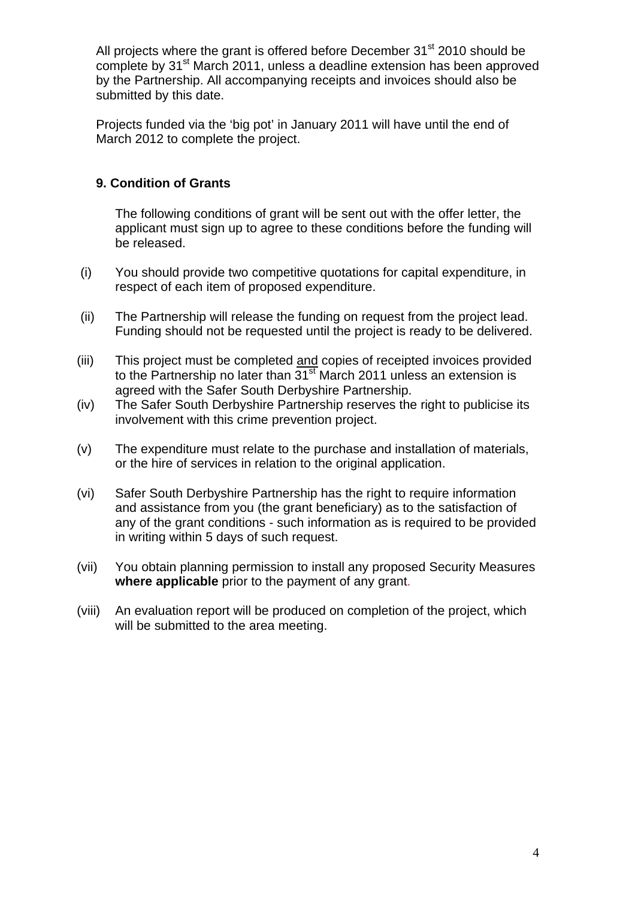All projects where the grant is offered before December  $31<sup>st</sup>$  2010 should be complete by 31<sup>st</sup> March 2011, unless a deadline extension has been approved by the Partnership. All accompanying receipts and invoices should also be submitted by this date.

Projects funded via the 'big pot' in January 2011 will have until the end of March 2012 to complete the project.

### **9. Condition of Grants**

The following conditions of grant will be sent out with the offer letter, the applicant must sign up to agree to these conditions before the funding will be released.

- (i) You should provide two competitive quotations for capital expenditure, in respect of each item of proposed expenditure.
- (ii) The Partnership will release the funding on request from the project lead. Funding should not be requested until the project is ready to be delivered.
- (iii) This project must be completed and copies of receipted invoices provided to the Partnership no later than  $31<sup>st</sup>$  March 2011 unless an extension is agreed with the Safer South Derbyshire Partnership.
- (iv) The Safer South Derbyshire Partnership reserves the right to publicise its involvement with this crime prevention project.
- (v) The expenditure must relate to the purchase and installation of materials, or the hire of services in relation to the original application.
- (vi) Safer South Derbyshire Partnership has the right to require information and assistance from you (the grant beneficiary) as to the satisfaction of any of the grant conditions - such information as is required to be provided in writing within 5 days of such request.
- (vii) You obtain planning permission to install any proposed Security Measures **where applicable** prior to the payment of any grant.
- (viii) An evaluation report will be produced on completion of the project, which will be submitted to the area meeting.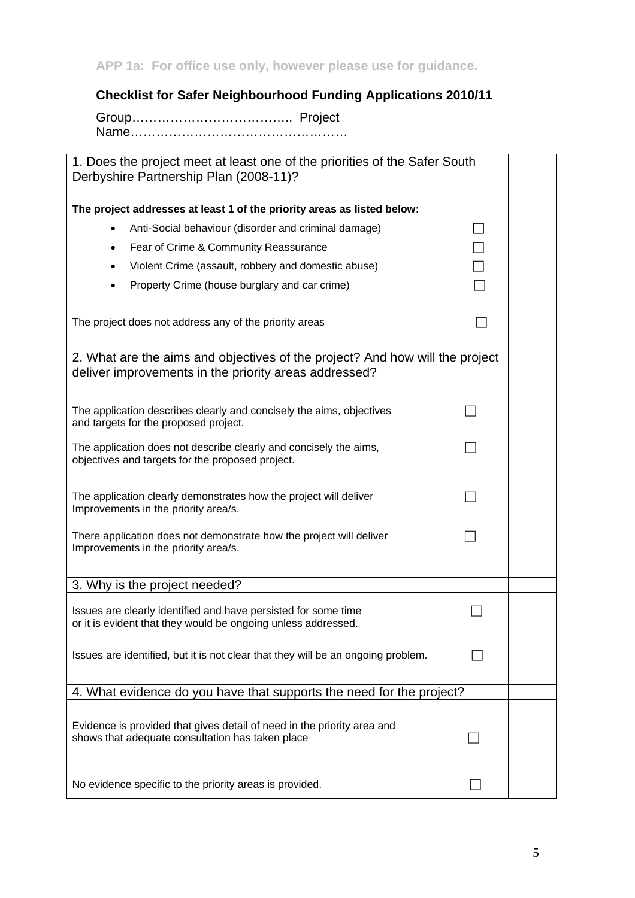**APP 1a: For office use only, however please use for guidance.** 

**Checklist for Safer Neighbourhood Funding Applications 2010/11** 

Group……………………………….. Project Name……………………………………………

1. Does the project meet at least one of the priorities of the Safer South Derbyshire Partnership Plan (2008-11)?

| The project addresses at least 1 of the priority areas as listed below:                                                               |  |
|---------------------------------------------------------------------------------------------------------------------------------------|--|
| Anti-Social behaviour (disorder and criminal damage)<br>$\bullet$                                                                     |  |
| Fear of Crime & Community Reassurance<br>$\bullet$                                                                                    |  |
| Violent Crime (assault, robbery and domestic abuse)<br>٠                                                                              |  |
| Property Crime (house burglary and car crime)                                                                                         |  |
|                                                                                                                                       |  |
| The project does not address any of the priority areas                                                                                |  |
|                                                                                                                                       |  |
| 2. What are the aims and objectives of the project? And how will the project<br>deliver improvements in the priority areas addressed? |  |
|                                                                                                                                       |  |
| The application describes clearly and concisely the aims, objectives<br>and targets for the proposed project.                         |  |
| The application does not describe clearly and concisely the aims,<br>objectives and targets for the proposed project.                 |  |
| The application clearly demonstrates how the project will deliver<br>Improvements in the priority area/s.                             |  |
| There application does not demonstrate how the project will deliver<br>Improvements in the priority area/s.                           |  |
|                                                                                                                                       |  |
| 3. Why is the project needed?                                                                                                         |  |
| Issues are clearly identified and have persisted for some time<br>or it is evident that they would be ongoing unless addressed.       |  |
| Issues are identified, but it is not clear that they will be an ongoing problem.                                                      |  |
|                                                                                                                                       |  |
| 4. What evidence do you have that supports the need for the project?                                                                  |  |
| Evidence is provided that gives detail of need in the priority area and<br>shows that adequate consultation has taken place           |  |
| No evidence specific to the priority areas is provided.                                                                               |  |